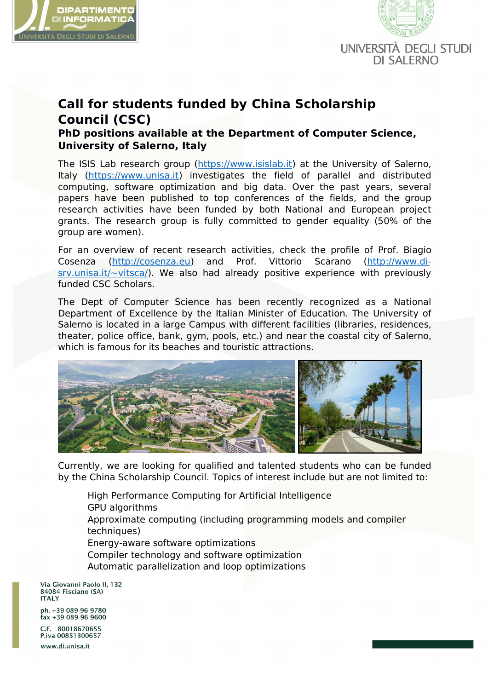



## **Call for students funded by China Scholarship Council (CSC)**

**PhD positions available at the Department of Computer Science, University of Salerno, Italy**

The ISIS Lab research group (https://www.isislab.it) at the University of Salerno, Italy (https://www.unisa.it) investigates the field of parallel and distributed computing, software optimization and big data. Over the past years, several papers have been published to top conferences of the fields, and the group research activities have been funded by both National and European project grants. The research group is fully committed to gender equality (50% of the group are women).

For an overview of recent research activities, check the profile of Prof. Biagio Cosenza (http://cosenza.eu) and Prof. Vittorio Scarano (http://www.di  $srv.$ unisa.it/~vitsca/). We also had already positive experience with previously funded CSC Scholars.

The Dept of Computer Science has been recently recognized as a National Department of Excellence by the Italian Minister of Education. The University of Salerno is located in a large Campus with different facilities (libraries, residences, theater, police office, bank, gym, pools, etc.) and near the coastal city of Salerno, which is famous for its beaches and touristic attractions.



Currently, we are looking for qualified and talented students who can be funded by the China Scholarship Council. Topics of interest include but are not limited to:

High Performance Computing for Artificial Intelligence GPU algorithms Approximate computing (including programming models and compiler techniques) Energy-aware software optimizations Compiler technology and software optimization Automatic parallelization and loop optimizations

Via Giovanni Paolo II, 132 84084 Fisciano (SA) **ITALY** 

ph. +39 089 96 9780  $fax + 39089969600$ 

C.F. 80018670655 P.iva 00851300657 www.di.unisa.it